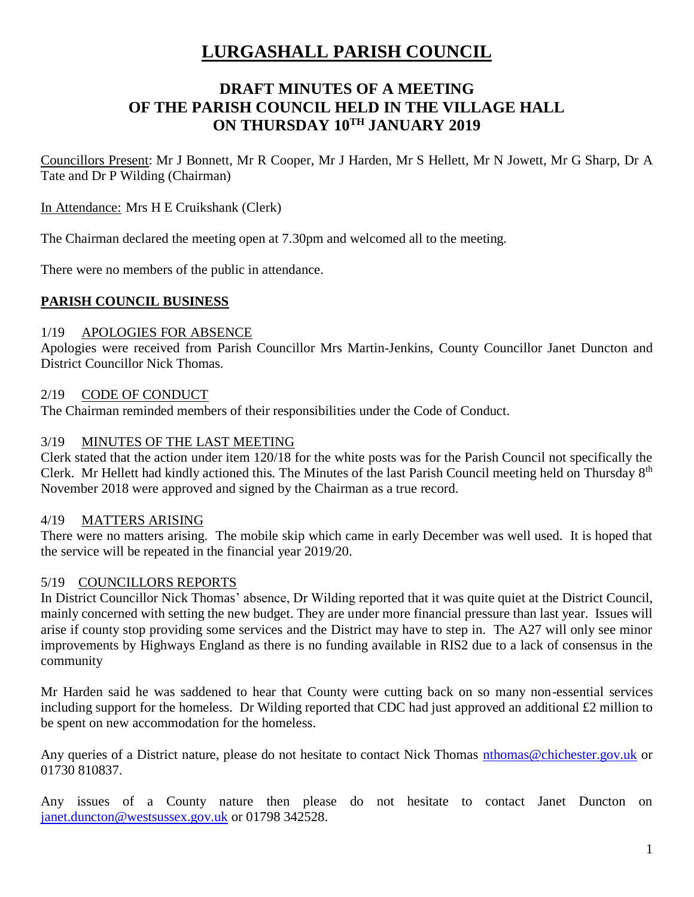# **LURGASHALL PARISH COUNCIL**

# **DRAFT MINUTES OF A MEETING OF THE PARISH COUNCIL HELD IN THE VILLAGE HALL ON THURSDAY 10TH JANUARY 2019**

Councillors Present: Mr J Bonnett, Mr R Cooper, Mr J Harden, Mr S Hellett, Mr N Jowett, Mr G Sharp, Dr A Tate and Dr P Wilding (Chairman)

#### In Attendance: Mrs H E Cruikshank (Clerk)

The Chairman declared the meeting open at 7.30pm and welcomed all to the meeting.

There were no members of the public in attendance.

## **PARISH COUNCIL BUSINESS**

#### 1/19 APOLOGIES FOR ABSENCE

Apologies were received from Parish Councillor Mrs Martin-Jenkins, County Councillor Janet Duncton and District Councillor Nick Thomas.

#### 2/19 CODE OF CONDUCT

The Chairman reminded members of their responsibilities under the Code of Conduct.

#### 3/19 MINUTES OF THE LAST MEETING

Clerk stated that the action under item 120/18 for the white posts was for the Parish Council not specifically the Clerk. Mr Hellett had kindly actioned this. The Minutes of the last Parish Council meeting held on Thursday  $8<sup>th</sup>$ November 2018 were approved and signed by the Chairman as a true record.

#### 4/19 MATTERS ARISING

There were no matters arising. The mobile skip which came in early December was well used. It is hoped that the service will be repeated in the financial year 2019/20.

#### 5/19 COUNCILLORS REPORTS

In District Councillor Nick Thomas' absence, Dr Wilding reported that it was quite quiet at the District Council, mainly concerned with setting the new budget. They are under more financial pressure than last year. Issues will arise if county stop providing some services and the District may have to step in. The A27 will only see minor improvements by Highways England as there is no funding available in RIS2 due to a lack of consensus in the community

Mr Harden said he was saddened to hear that County were cutting back on so many non-essential services including support for the homeless. Dr Wilding reported that CDC had just approved an additional £2 million to be spent on new accommodation for the homeless.

Any queries of a District nature, please do not hesitate to contact Nick Thomas [nthomas@chichester.gov.uk](mailto:nthomas@chichester.gov.uk) or 01730 810837.

Any issues of a County nature then please do not hesitate to contact Janet Duncton on [janet.duncton@westsussex.gov.uk](mailto:janet.duncton@westsussex.gov.uk) or 01798 342528.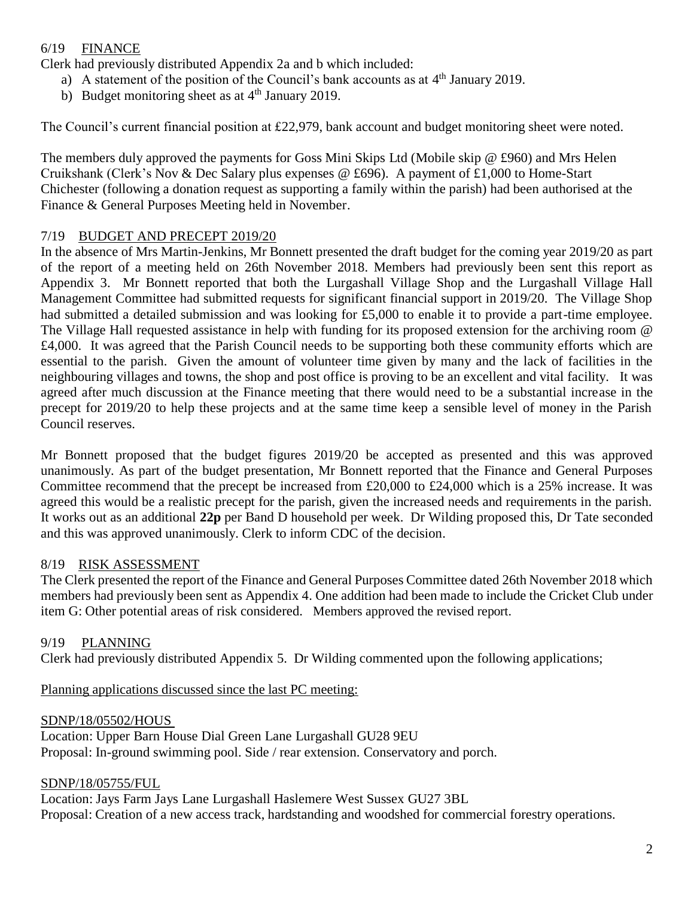## 6/19 FINANCE

Clerk had previously distributed Appendix 2a and b which included:

- a) A statement of the position of the Council's bank accounts as at  $4<sup>th</sup>$  January 2019.
- b) Budget monitoring sheet as at 4<sup>th</sup> January 2019.

The Council's current financial position at £22,979, bank account and budget monitoring sheet were noted.

The members duly approved the payments for Goss Mini Skips Ltd (Mobile skip @ £960) and Mrs Helen Cruikshank (Clerk's Nov & Dec Salary plus expenses @ £696). A payment of £1,000 to Home-Start Chichester (following a donation request as supporting a family within the parish) had been authorised at the Finance & General Purposes Meeting held in November.

## 7/19 BUDGET AND PRECEPT 2019/20

In the absence of Mrs Martin-Jenkins, Mr Bonnett presented the draft budget for the coming year 2019/20 as part of the report of a meeting held on 26th November 2018. Members had previously been sent this report as Appendix 3. Mr Bonnett reported that both the Lurgashall Village Shop and the Lurgashall Village Hall Management Committee had submitted requests for significant financial support in 2019/20. The Village Shop had submitted a detailed submission and was looking for £5,000 to enable it to provide a part-time employee. The Village Hall requested assistance in help with funding for its proposed extension for the archiving room @ £4,000. It was agreed that the Parish Council needs to be supporting both these community efforts which are essential to the parish. Given the amount of volunteer time given by many and the lack of facilities in the neighbouring villages and towns, the shop and post office is proving to be an excellent and vital facility. It was agreed after much discussion at the Finance meeting that there would need to be a substantial increase in the precept for 2019/20 to help these projects and at the same time keep a sensible level of money in the Parish Council reserves.

Mr Bonnett proposed that the budget figures 2019/20 be accepted as presented and this was approved unanimously. As part of the budget presentation, Mr Bonnett reported that the Finance and General Purposes Committee recommend that the precept be increased from £20,000 to £24,000 which is a 25% increase. It was agreed this would be a realistic precept for the parish, given the increased needs and requirements in the parish. It works out as an additional **22p** per Band D household per week. Dr Wilding proposed this, Dr Tate seconded and this was approved unanimously. Clerk to inform CDC of the decision.

#### 8/19 RISK ASSESSMENT

The Clerk presented the report of the Finance and General Purposes Committee dated 26th November 2018 which members had previously been sent as Appendix 4. One addition had been made to include the Cricket Club under item G: Other potential areas of risk considered. Members approved the revised report.

#### 9/19 PLANNING

Clerk had previously distributed Appendix 5. Dr Wilding commented upon the following applications;

Planning applications discussed since the last PC meeting:

#### SDNP/18/05502/HOUS

Location: Upper Barn House Dial Green Lane Lurgashall GU28 9EU Proposal: In-ground swimming pool. Side / rear extension. Conservatory and porch.

#### SDNP/18/05755/FUL

Location: Jays Farm Jays Lane Lurgashall Haslemere West Sussex GU27 3BL Proposal: Creation of a new access track, hardstanding and woodshed for commercial forestry operations.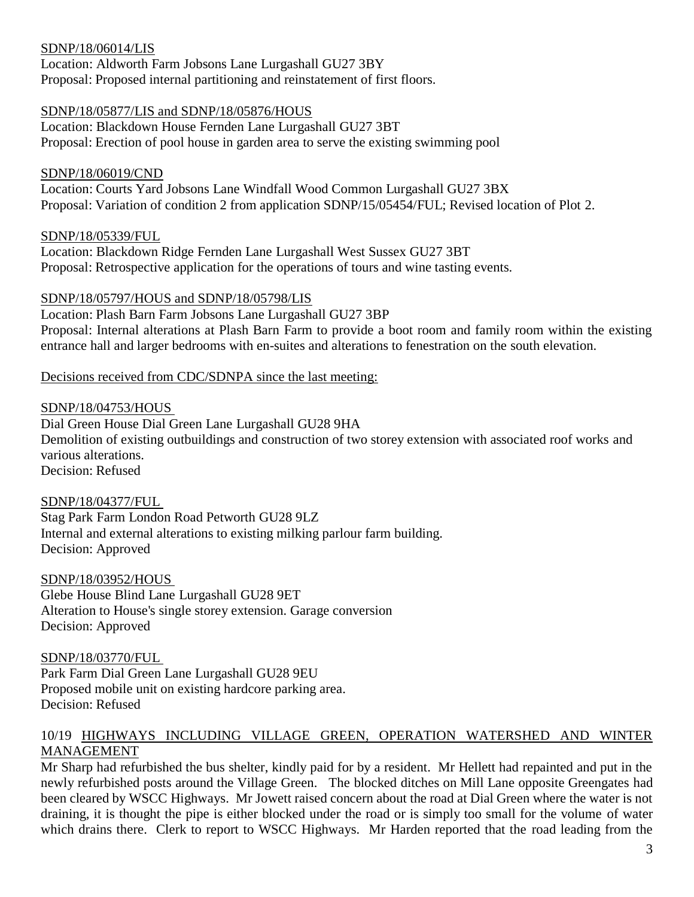#### SDNP/18/06014/LIS

Location: Aldworth Farm Jobsons Lane Lurgashall GU27 3BY Proposal: Proposed internal partitioning and reinstatement of first floors.

#### SDNP/18/05877/LIS and SDNP/18/05876/HOUS

Location: Blackdown House Fernden Lane Lurgashall GU27 3BT Proposal: Erection of pool house in garden area to serve the existing swimming pool

#### SDNP/18/06019/CND

Location: Courts Yard Jobsons Lane Windfall Wood Common Lurgashall GU27 3BX Proposal: Variation of condition 2 from application SDNP/15/05454/FUL; Revised location of Plot 2.

#### SDNP/18/05339/FUL

Location: Blackdown Ridge Fernden Lane Lurgashall West Sussex GU27 3BT Proposal: Retrospective application for the operations of tours and wine tasting events.

#### SDNP/18/05797/HOUS and SDNP/18/05798/LIS

Location: Plash Barn Farm Jobsons Lane Lurgashall GU27 3BP Proposal: Internal alterations at Plash Barn Farm to provide a boot room and family room within the existing entrance hall and larger bedrooms with en-suites and alterations to fenestration on the south elevation.

#### Decisions received from CDC/SDNPA since the last meeting:

#### SDNP/18/04753/HOUS

Dial Green House Dial Green Lane Lurgashall GU28 9HA Demolition of existing outbuildings and construction of two storey extension with associated roof works and various alterations. Decision: Refused

#### SDNP/18/04377/FUL

Stag Park Farm London Road Petworth GU28 9LZ Internal and external alterations to existing milking parlour farm building. Decision: Approved

#### SDNP/18/03952/HOUS

Glebe House Blind Lane Lurgashall GU28 9ET Alteration to House's single storey extension. Garage conversion Decision: Approved

SDNP/18/03770/FUL Park Farm Dial Green Lane Lurgashall GU28 9EU Proposed mobile unit on existing hardcore parking area. Decision: Refused

#### 10/19 HIGHWAYS INCLUDING VILLAGE GREEN, OPERATION WATERSHED AND WINTER MANAGEMENT

Mr Sharp had refurbished the bus shelter, kindly paid for by a resident. Mr Hellett had repainted and put in the newly refurbished posts around the Village Green. The blocked ditches on Mill Lane opposite Greengates had been cleared by WSCC Highways. Mr Jowett raised concern about the road at Dial Green where the water is not draining, it is thought the pipe is either blocked under the road or is simply too small for the volume of water which drains there. Clerk to report to WSCC Highways. Mr Harden reported that the road leading from the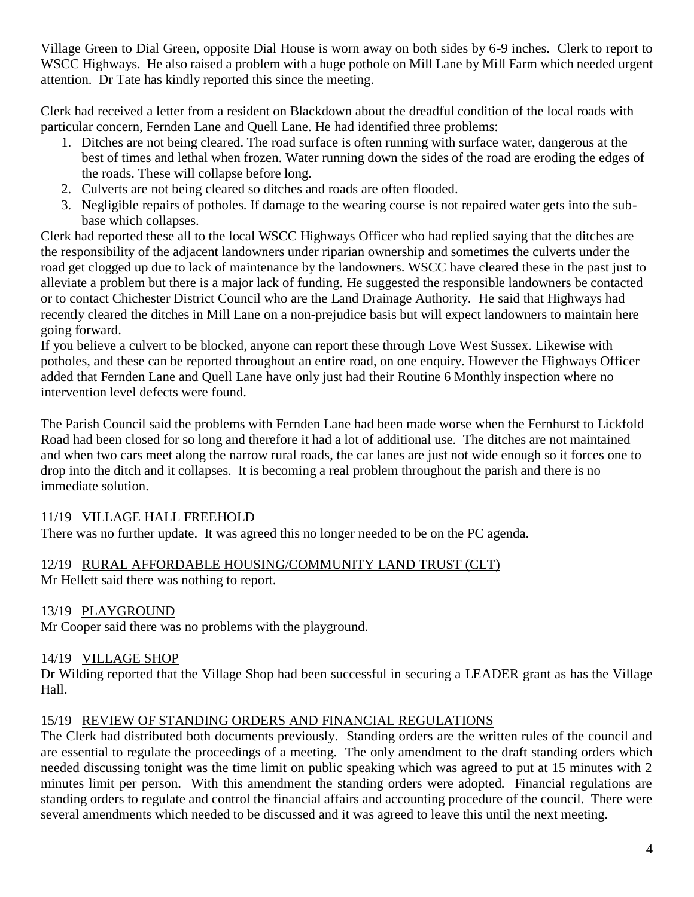Village Green to Dial Green, opposite Dial House is worn away on both sides by 6-9 inches. Clerk to report to WSCC Highways. He also raised a problem with a huge pothole on Mill Lane by Mill Farm which needed urgent attention. Dr Tate has kindly reported this since the meeting.

Clerk had received a letter from a resident on Blackdown about the dreadful condition of the local roads with particular concern, Fernden Lane and Quell Lane. He had identified three problems:

- 1. Ditches are not being cleared. The road surface is often running with surface water, dangerous at the best of times and lethal when frozen. Water running down the sides of the road are eroding the edges of the roads. These will collapse before long.
- 2. Culverts are not being cleared so ditches and roads are often flooded.
- 3. Negligible repairs of potholes. If damage to the wearing course is not repaired water gets into the subbase which collapses.

Clerk had reported these all to the local WSCC Highways Officer who had replied saying that the ditches are the responsibility of the adjacent landowners under riparian ownership and sometimes the culverts under the road get clogged up due to lack of maintenance by the landowners. WSCC have cleared these in the past just to alleviate a problem but there is a major lack of funding. He suggested the responsible landowners be contacted or to contact Chichester District Council who are the Land Drainage Authority. He said that Highways had recently cleared the ditches in Mill Lane on a non-prejudice basis but will expect landowners to maintain here going forward.

If you believe a culvert to be blocked, anyone can report these through Love West Sussex. Likewise with potholes, and these can be reported throughout an entire road, on one enquiry. However the Highways Officer added that Fernden Lane and Quell Lane have only just had their Routine 6 Monthly inspection where no intervention level defects were found.

The Parish Council said the problems with Fernden Lane had been made worse when the Fernhurst to Lickfold Road had been closed for so long and therefore it had a lot of additional use. The ditches are not maintained and when two cars meet along the narrow rural roads, the car lanes are just not wide enough so it forces one to drop into the ditch and it collapses. It is becoming a real problem throughout the parish and there is no immediate solution.

## 11/19 VILLAGE HALL FREEHOLD

There was no further update. It was agreed this no longer needed to be on the PC agenda.

## 12/19 RURAL AFFORDABLE HOUSING/COMMUNITY LAND TRUST (CLT)

Mr Hellett said there was nothing to report.

## 13/19 PLAYGROUND

Mr Cooper said there was no problems with the playground.

## 14/19 VILLAGE SHOP

Dr Wilding reported that the Village Shop had been successful in securing a LEADER grant as has the Village Hall.

#### 15/19 REVIEW OF STANDING ORDERS AND FINANCIAL REGULATIONS

The Clerk had distributed both documents previously. Standing orders are the written rules of the council and are essential to regulate the proceedings of a meeting. The only amendment to the draft standing orders which needed discussing tonight was the time limit on public speaking which was agreed to put at 15 minutes with 2 minutes limit per person. With this amendment the standing orders were adopted. Financial regulations are standing orders to regulate and control the financial affairs and accounting procedure of the council. There were several amendments which needed to be discussed and it was agreed to leave this until the next meeting.